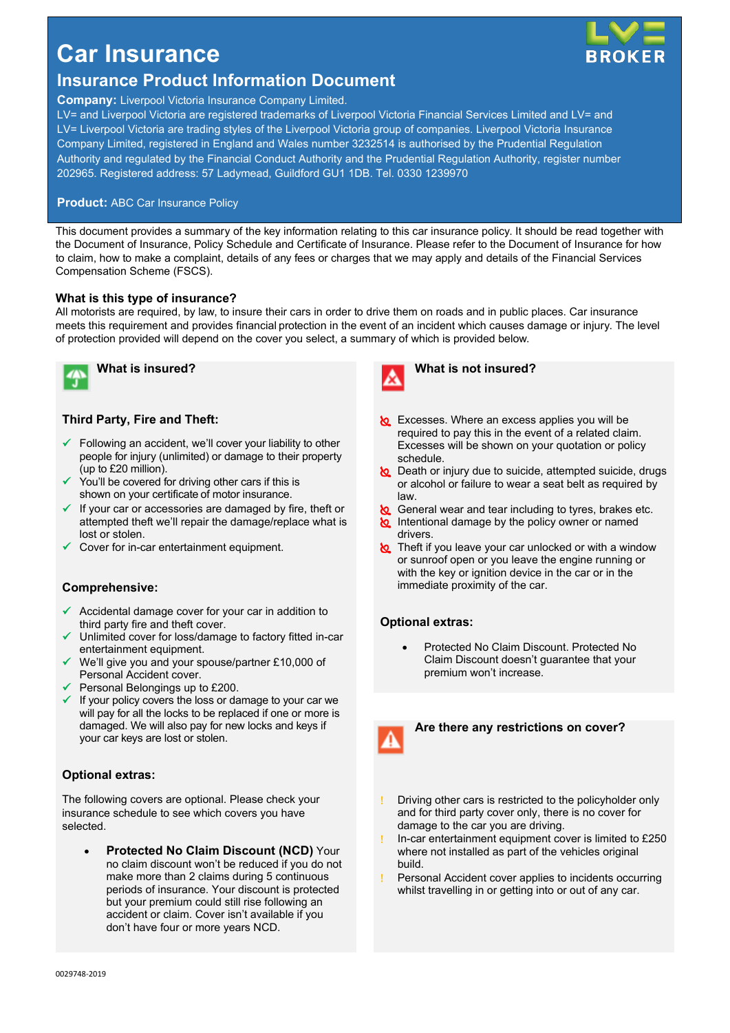# **Car Insurance**



# **Insurance Product Information Document**

#### **Company:** Liverpool Victoria Insurance Company Limited.

LV= and Liverpool Victoria are registered trademarks of Liverpool Victoria Financial Services Limited and LV= and LV= Liverpool Victoria are trading styles of the Liverpool Victoria group of companies. Liverpool Victoria Insurance Company Limited, registered in England and Wales number 3232514 is authorised by the Prudential Regulation Authority and regulated by the Financial Conduct Authority and the Prudential Regulation Authority, register number 202965. Registered address: 57 Ladymead, Guildford GU1 1DB. Tel. 0330 1239970

#### **Product:** ABC Car Insurance Policy

This document provides a summary of the key information relating to this car insurance policy. It should be read together with the Document of Insurance, Policy Schedule and Certificate of Insurance. Please refer to the Document of Insurance for how to claim, how to make a complaint, details of any fees or charges that we may apply and details of the Financial Services Compensation Scheme (FSCS).

#### **What is this type of insurance?**

All motorists are required, by law, to insure their cars in order to drive them on roads and in public places. Car insurance meets this requirement and provides financial protection in the event of an incident which causes damage or injury. The level of protection provided will depend on the cover you select, a summary of which is provided below.



## **What is insured?**

#### **Third Party, Fire and Theft:**

- $\checkmark$  Following an accident, we'll cover your liability to other people for injury (unlimited) or damage to their property (up to £20 million).
- You'll be covered for driving other cars if this is shown on your certificate of motor insurance.
- $\checkmark$  If your car or accessories are damaged by fire, theft or attempted theft we'll repair the damage/replace what is lost or stolen.
- $\checkmark$  Cover for in-car entertainment equipment.

#### **Comprehensive:**

- $\checkmark$  Accidental damage cover for your car in addition to third party fire and theft cover.
- Unlimited cover for loss/damage to factory fitted in-car entertainment equipment.
- We'll give you and your spouse/partner £10,000 of Personal Accident cover.
- Personal Belongings up to £200.
- $\checkmark$  If your policy covers the loss or damage to your car we will pay for all the locks to be replaced if one or more is damaged. We will also pay for new locks and keys if your car keys are lost or stolen.

#### **Optional extras:**

The following covers are optional. Please check your insurance schedule to see which covers you have selected.

 **Protected No Claim Discount (NCD)** Your no claim discount won't be reduced if you do not make more than 2 claims during 5 continuous periods of insurance. Your discount is protected but your premium could still rise following an accident or claim. Cover isn't available if you don't have four or more years NCD.



#### **What is not insured?**

- **k** Excesses. Where an excess applies you will be required to pay this in the event of a related claim. Excesses will be shown on your quotation or policy schedule.
- **O** Death or injury due to suicide, attempted suicide, drugs or alcohol or failure to wear a seat belt as required by law.
- **C** General wear and tear including to tyres, brakes etc.
- Intentional damage by the policy owner or named drivers.
- Theft if you leave your car unlocked or with a window or sunroof open or you leave the engine running or with the key or ignition device in the car or in the immediate proximity of the car.

#### **Optional extras:**

 Protected No Claim Discount. Protected No Claim Discount doesn't guarantee that your premium won't increase.



#### **Are there any restrictions on cover?**

- Driving other cars is restricted to the policyholder only and for third party cover only, there is no cover for damage to the car you are driving.
- In-car entertainment equipment cover is limited to £250 where not installed as part of the vehicles original build.
- Personal Accident cover applies to incidents occurring whilst travelling in or getting into or out of any car.